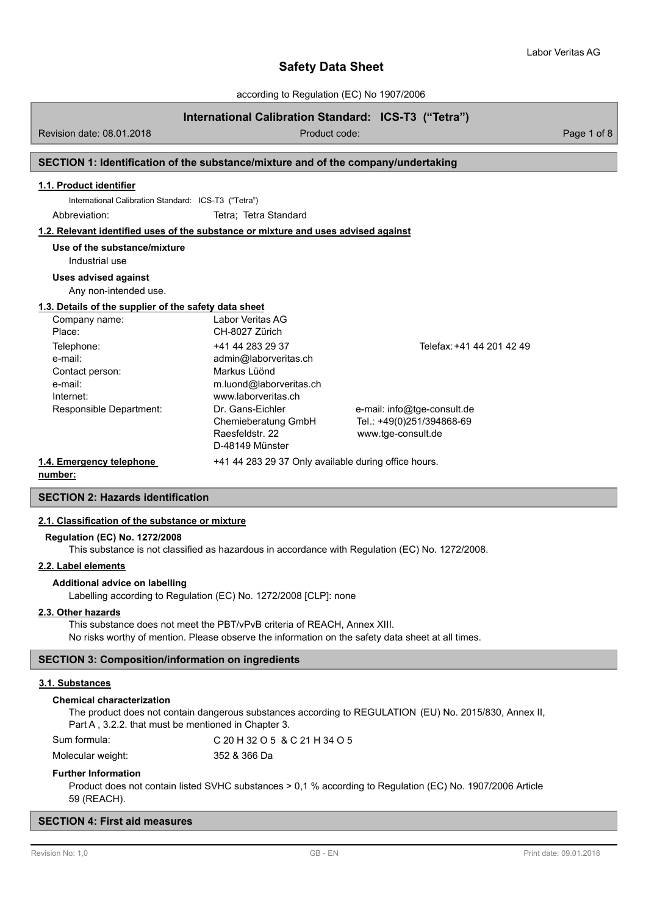according to Regulation (EC) No 1907/2006

# **International Calibration Standard: ICS-T3 ("Tetra")**

Revision date: 08.01.2018 **Product code:** Product code: Product code: Page 1 of 8

# **SECTION 1: Identification of the substance/mixture and of the company/undertaking**

## **1.1. Product identifier**

International Calibration Standard: ICS-T3 ("Tetra")

Abbreviation: Tetra: Tetra Standard

#### **1.2. Relevant identified uses of the substance or mixture and uses advised against**

**Use of the substance/mixture**

# Industrial use

**Uses advised against**

Any non-intended use.

#### **1.3. Details of the supplier of the safety data sheet**

| Company name:            | Labor Veritas AG                                     |                             |
|--------------------------|------------------------------------------------------|-----------------------------|
| Place:                   | CH-8027 Zürich                                       |                             |
| Telephone:               | +41 44 283 29 37                                     | Telefax: +41 44 201 42 49   |
| e-mail:                  | admin@laborveritas.ch                                |                             |
| Contact person:          | Markus Lüönd                                         |                             |
| e-mail:                  | m.luond@laborveritas.ch                              |                             |
| Internet:                | www.laborveritas.ch                                  |                             |
| Responsible Department:  | Dr. Gans-Eichler                                     | e-mail: info@tge-consult.de |
|                          | Chemieberatung GmbH                                  | Tel.: +49(0)251/394868-69   |
|                          | Raesfeldstr, 22                                      | www.tge-consult.de          |
|                          | D-48149 Münster                                      |                             |
| 1.4. Emergency telephone | +41 44 283 29 37 Only available during office hours. |                             |

**number:**

# **SECTION 2: Hazards identification**

#### **2.1. Classification of the substance or mixture**

#### **Regulation (EC) No. 1272/2008**

This substance is not classified as hazardous in accordance with Regulation (EC) No. 1272/2008.

## **2.2. Label elements**

#### **Additional advice on labelling**

Labelling according to Regulation (EC) No. 1272/2008 [CLP]: none

#### **2.3. Other hazards**

This substance does not meet the PBT/vPvB criteria of REACH, Annex XIII. No risks worthy of mention. Please observe the information on the safety data sheet at all times.

## **SECTION 3: Composition/information on ingredients**

# **3.1. Substances**

#### **Chemical characterization**

The product does not contain dangerous substances according to REGULATION (EU) No. 2015/830, Annex II, Part A , 3.2.2. that must be mentioned in Chapter 3.

Sum formula: C 20 H 32 O 5 & C 21 H 34 O 5

Molecular weight: 352 & 366 Da

#### **Further Information**

Product does not contain listed SVHC substances > 0,1 % according to Regulation (EC) No. 1907/2006 Article 59 (REACH).

#### **SECTION 4: First aid measures**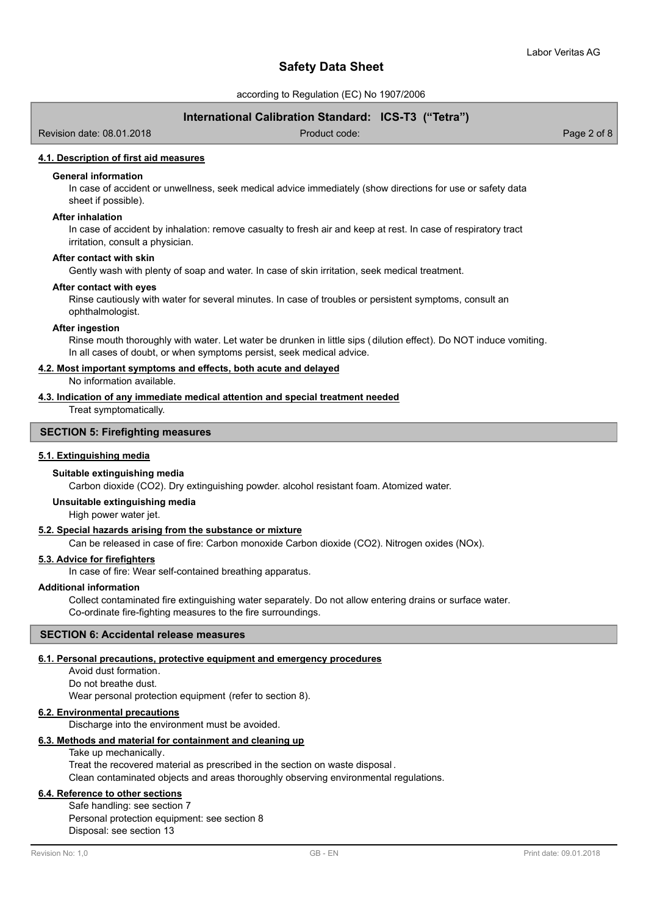according to Regulation (EC) No 1907/2006

# **International Calibration Standard: ICS-T3 ("Tetra")**

Revision date: 08.01.2018 Product code: Page 2 of 8

#### **4.1. Description of first aid measures**

# **General information**

In case of accident or unwellness, seek medical advice immediately (show directions for use or safety data sheet if possible).

#### **After inhalation**

In case of accident by inhalation: remove casualty to fresh air and keep at rest. In case of respiratory tract irritation, consult a physician.

#### **After contact with skin**

Gently wash with plenty of soap and water. In case of skin irritation, seek medical treatment.

#### **After contact with eyes**

Rinse cautiously with water for several minutes. In case of troubles or persistent symptoms, consult an ophthalmologist.

## **After ingestion**

Rinse mouth thoroughly with water. Let water be drunken in little sips (dilution effect). Do NOT induce vomiting. In all cases of doubt, or when symptoms persist, seek medical advice.

#### **4.2. Most important symptoms and effects, both acute and delayed**

No information available.

# **4.3. Indication of any immediate medical attention and special treatment needed**

Treat symptomatically.

## **SECTION 5: Firefighting measures**

#### **5.1. Extinguishing media**

#### **Suitable extinguishing media**

Carbon dioxide (CO2). Dry extinguishing powder. alcohol resistant foam. Atomized water.

#### **Unsuitable extinguishing media**

High power water jet.

## **5.2. Special hazards arising from the substance or mixture**

Can be released in case of fire: Carbon monoxide Carbon dioxide (CO2). Nitrogen oxides (NOx).

# **5.3. Advice for firefighters**

In case of fire: Wear self-contained breathing apparatus.

# **Additional information**

Collect contaminated fire extinguishing water separately. Do not allow entering drains or surface water. Co-ordinate fire-fighting measures to the fire surroundings.

# **SECTION 6: Accidental release measures**

#### **6.1. Personal precautions, protective equipment and emergency procedures**

Avoid dust formation. Do not breathe dust. Wear personal protection equipment (refer to section 8).

## **6.2. Environmental precautions**

Discharge into the environment must be avoided.

#### **6.3. Methods and material for containment and cleaning up**

Take up mechanically.

Treat the recovered material as prescribed in the section on waste disposal . Clean contaminated objects and areas thoroughly observing environmental regulations.

# **6.4. Reference to other sections**

Safe handling: see section 7 Personal protection equipment: see section 8 Disposal: see section 13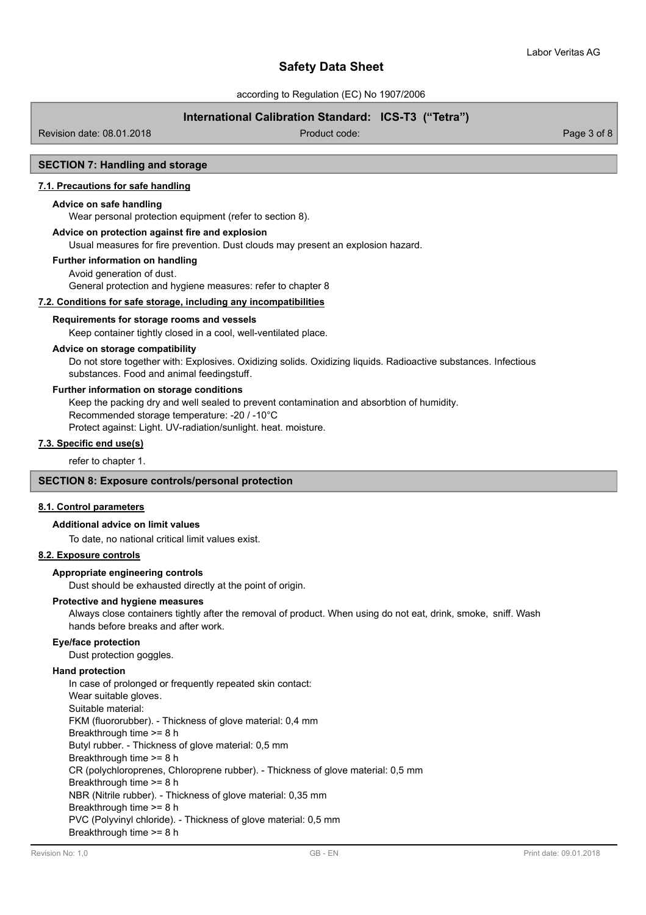according to Regulation (EC) No 1907/2006

# **International Calibration Standard: ICS-T3 ("Tetra")**

Revision date: 08.01.2018 Product code: Page 3 of 8

# **SECTION 7: Handling and storage**

# **7.1. Precautions for safe handling**

## **Advice on safe handling**

Wear personal protection equipment (refer to section 8).

# **Advice on protection against fire and explosion**

Usual measures for fire prevention. Dust clouds may present an explosion hazard.

#### **Further information on handling**

Avoid generation of dust. General protection and hygiene measures: refer to chapter 8

# **7.2. Conditions for safe storage, including any incompatibilities**

#### **Requirements for storage rooms and vessels**

Keep container tightly closed in a cool, well-ventilated place.

## **Advice on storage compatibility**

Do not store together with: Explosives. Oxidizing solids. Oxidizing liquids. Radioactive substances. Infectious substances. Food and animal feedingstuff.

#### **Further information on storage conditions**

Keep the packing dry and well sealed to prevent contamination and absorbtion of humidity.

Recommended storage temperature: -20 / -10°C

Protect against: Light. UV-radiation/sunlight. heat. moisture.

# **7.3. Specific end use(s)**

refer to chapter 1.

# **SECTION 8: Exposure controls/personal protection**

#### **8.1. Control parameters**

#### **Additional advice on limit values**

To date, no national critical limit values exist.

# **8.2. Exposure controls**

#### **Appropriate engineering controls**

Dust should be exhausted directly at the point of origin.

#### **Protective and hygiene measures**

Always close containers tightly after the removal of product. When using do not eat, drink, smoke, sniff. Wash hands before breaks and after work.

#### **Eye/face protection**

Dust protection goggles.

## **Hand protection**

In case of prolonged or frequently repeated skin contact: Wear suitable gloves. Suitable material: FKM (fluororubber). - Thickness of glove material: 0,4 mm Breakthrough time >= 8 h Butyl rubber. - Thickness of glove material: 0,5 mm Breakthrough time >= 8 h CR (polychloroprenes, Chloroprene rubber). - Thickness of glove material: 0,5 mm Breakthrough time >= 8 h NBR (Nitrile rubber). - Thickness of glove material: 0,35 mm Breakthrough time >= 8 h PVC (Polyvinyl chloride). - Thickness of glove material: 0,5 mm Breakthrough time >= 8 h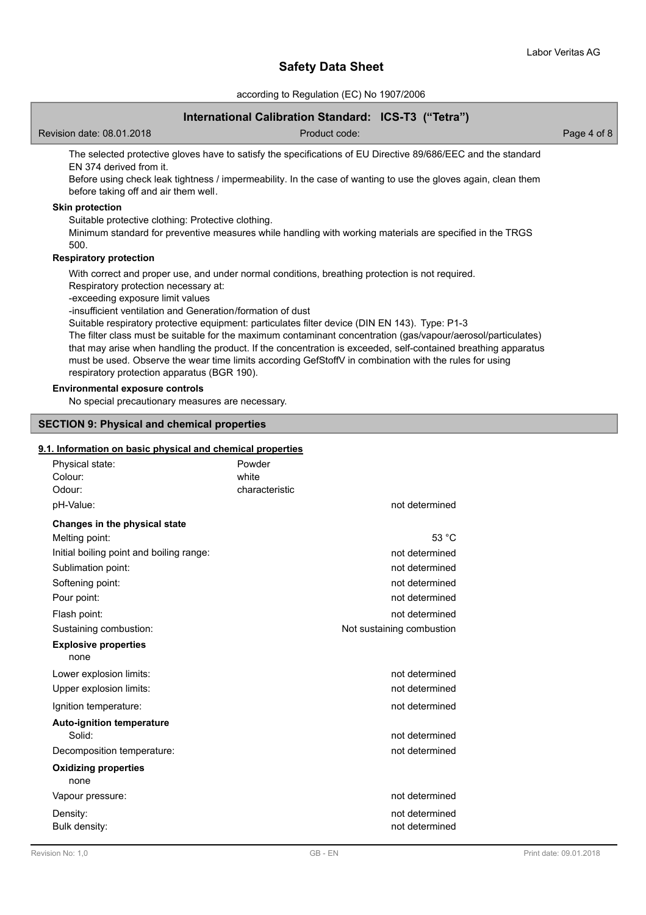according to Regulation (EC) No 1907/2006

# **International Calibration Standard: ICS-T3 ("Tetra")**

Revision date: 08.01.2018 Product code: Page 4 of 8

The selected protective gloves have to satisfy the specifications of EU Directive 89/686/EEC and the standard EN 374 derived from it.

Before using check leak tightness / impermeability. In the case of wanting to use the gloves again, clean them before taking off and air them well.

# **Skin protection**

Suitable protective clothing: Protective clothing.

Minimum standard for preventive measures while handling with working materials are specified in the TRGS 500.

# **Respiratory protection**

With correct and proper use, and under normal conditions, breathing protection is not required.

Respiratory protection necessary at:

-exceeding exposure limit values

-insufficient ventilation and Generation/formation of dust

Suitable respiratory protective equipment: particulates filter device (DIN EN 143). Type: P1-3

The filter class must be suitable for the maximum contaminant concentration (gas/vapour/aerosol/particulates) that may arise when handling the product. If the concentration is exceeded, self-contained breathing apparatus must be used. Observe the wear time limits according GefStoffV in combination with the rules for using respiratory protection apparatus (BGR 190).

# **Environmental exposure controls**

No special precautionary measures are necessary.

## **SECTION 9: Physical and chemical properties**

## **9.1. Information on basic physical and chemical properties**

| Physical state:<br>Colour:<br>Odour:     | Powder<br>white<br>characteristic |                           |
|------------------------------------------|-----------------------------------|---------------------------|
| pH-Value:                                |                                   | not determined            |
| Changes in the physical state            |                                   |                           |
| Melting point:                           |                                   | 53 °C                     |
| Initial boiling point and boiling range: |                                   | not determined            |
| Sublimation point:                       |                                   | not determined            |
| Softening point:                         |                                   | not determined            |
| Pour point:                              |                                   | not determined            |
| Flash point:                             |                                   | not determined            |
| Sustaining combustion:                   |                                   | Not sustaining combustion |
| <b>Explosive properties</b><br>none      |                                   |                           |
| Lower explosion limits:                  |                                   | not determined            |
| Upper explosion limits:                  |                                   | not determined            |
| Ignition temperature:                    |                                   | not determined            |
| <b>Auto-ignition temperature</b>         |                                   |                           |
| Solid:                                   |                                   | not determined            |
| Decomposition temperature:               |                                   | not determined            |
| <b>Oxidizing properties</b><br>none      |                                   |                           |
| Vapour pressure:                         |                                   | not determined            |
| Density:                                 |                                   | not determined            |
| Bulk density:                            |                                   | not determined            |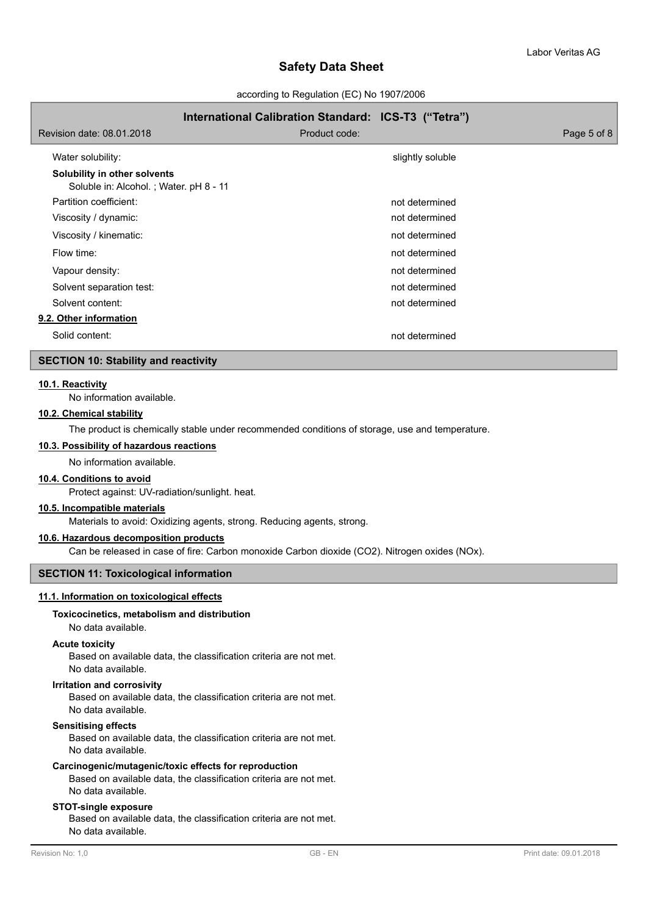according to Regulation (EC) No 1907/2006

# **International Calibration Standard: ICS-T3 ("Tetra")** Revision date: 08.01.2018 Product code: Page 5 of 8 Water solubility:  $\blacksquare$ **Solubility in other solvents** Soluble in: Alcohol. ; Water. pH 8 - 11 Partition coefficient: not determined Viscosity / dynamic: not determined viscosity / dynamic: Viscosity / kinematic: not determined Flow time: not determined Vapour density: not determined Solvent separation test: not determined Solvent content: not determined **9.2. Other information** Solid content: not determined

## **SECTION 10: Stability and reactivity**

# **10.1. Reactivity**

No information available.

# **10.2. Chemical stability**

The product is chemically stable under recommended conditions of storage, use and temperature.

# **10.3. Possibility of hazardous reactions**

No information available.

#### **10.4. Conditions to avoid**

Protect against: UV-radiation/sunlight. heat.

#### **10.5. Incompatible materials**

Materials to avoid: Oxidizing agents, strong. Reducing agents, strong.

#### **10.6. Hazardous decomposition products**

Can be released in case of fire: Carbon monoxide Carbon dioxide (CO2). Nitrogen oxides (NOx).

# **SECTION 11: Toxicological information**

## **11.1. Information on toxicological effects**

# **Toxicocinetics, metabolism and distribution**

#### No data available.

#### **Acute toxicity**

Based on available data, the classification criteria are not met. No data available.

#### **Irritation and corrosivity**

Based on available data, the classification criteria are not met. No data available.

# **Sensitising effects**

Based on available data, the classification criteria are not met. No data available.

# **Carcinogenic/mutagenic/toxic effects for reproduction**

Based on available data, the classification criteria are not met. No data available.

# **STOT-single exposure**

Based on available data, the classification criteria are not met. No data available.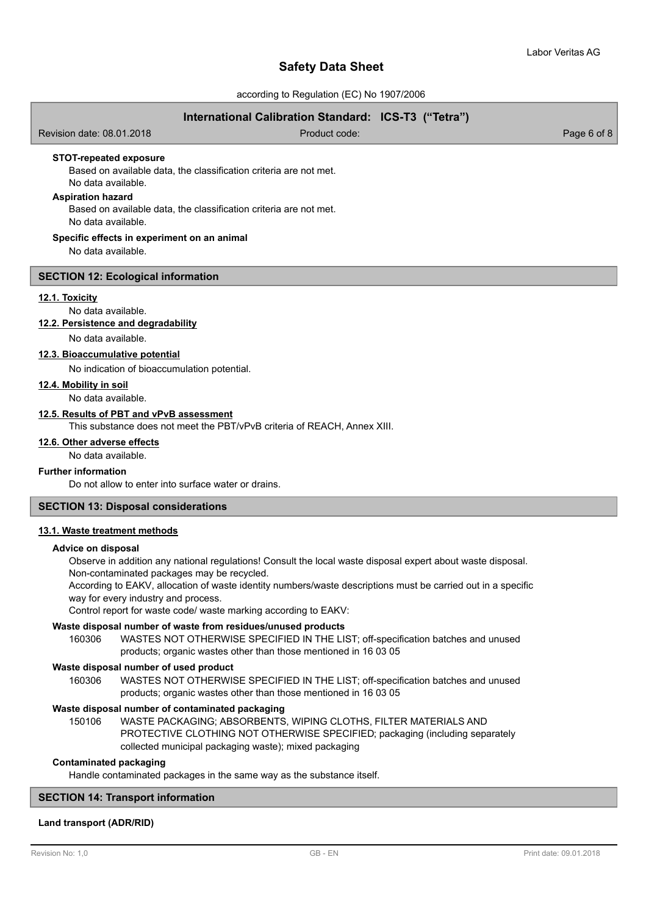according to Regulation (EC) No 1907/2006

# **International Calibration Standard: ICS-T3 ("Tetra")**

Revision date: 08.01.2018 and 2010 Contract Code: Product code: Page 6 of 8 Based on available data, the classification criteria are not met. No data available. **STOT-repeated exposure Aspiration hazard** Based on available data, the classification criteria are not met. No data available. No data available. **Specific effects in experiment on an animal SECTION 12: Ecological information 12.1. Toxicity** No data available. **12.2. Persistence and degradability** No data available. **12.3. Bioaccumulative potential** No indication of bioaccumulation potential. No data available. **12.4. Mobility in soil 12.5. Results of PBT and vPvB assessment** This substance does not meet the PBT/vPvB criteria of REACH, Annex XIII. No data available. **12.6. Other adverse effects Further information**

Do not allow to enter into surface water or drains.

# **SECTION 13: Disposal considerations**

#### **13.1. Waste treatment methods**

#### **Advice on disposal**

Observe in addition any national regulations! Consult the local waste disposal expert about waste disposal. Non-contaminated packages may be recycled.

According to EAKV, allocation of waste identity numbers/waste descriptions must be carried out in a specific way for every industry and process.

Control report for waste code/ waste marking according to EAKV:

# **Waste disposal number of waste from residues/unused products**

160306 WASTES NOT OTHERWISE SPECIFIED IN THE LIST; off-specification batches and unused products; organic wastes other than those mentioned in 16 03 05

#### **Waste disposal number of used product**

WASTES NOT OTHERWISE SPECIFIED IN THE LIST; off-specification batches and unused products; organic wastes other than those mentioned in 16 03 05 160306

#### **Waste disposal number of contaminated packaging**

WASTE PACKAGING; ABSORBENTS, WIPING CLOTHS, FILTER MATERIALS AND PROTECTIVE CLOTHING NOT OTHERWISE SPECIFIED; packaging (including separately collected municipal packaging waste); mixed packaging 150106

# **Contaminated packaging**

Handle contaminated packages in the same way as the substance itself.

# **SECTION 14: Transport information**

# **Land transport (ADR/RID)**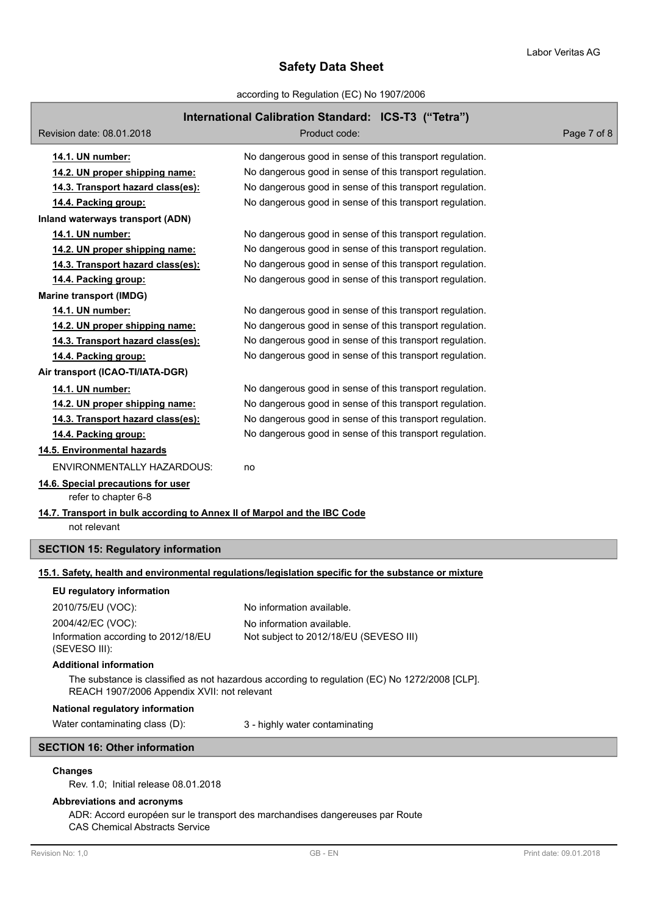according to Regulation (EC) No 1907/2006

# **International Calibration Standard: ICS-T3 ("Tetra")**

| Revision date: 08.01.2018                                                                                                                    | Hauvilai Jaholauvii Jiaha<br>ara. 100 to (100a)<br>Product code:                                     | Page 7 of 8 |  |  |  |
|----------------------------------------------------------------------------------------------------------------------------------------------|------------------------------------------------------------------------------------------------------|-------------|--|--|--|
|                                                                                                                                              | No dangerous good in sense of this transport regulation.                                             |             |  |  |  |
| 14.1. UN number:<br>14.2. UN proper shipping name:                                                                                           | No dangerous good in sense of this transport regulation.                                             |             |  |  |  |
| 14.3. Transport hazard class(es):                                                                                                            | No dangerous good in sense of this transport regulation.                                             |             |  |  |  |
| 14.4. Packing group:                                                                                                                         | No dangerous good in sense of this transport regulation.                                             |             |  |  |  |
| Inland waterways transport (ADN)                                                                                                             |                                                                                                      |             |  |  |  |
| 14.1. UN number:                                                                                                                             | No dangerous good in sense of this transport regulation.                                             |             |  |  |  |
| 14.2. UN proper shipping name:                                                                                                               | No dangerous good in sense of this transport regulation.                                             |             |  |  |  |
| 14.3. Transport hazard class(es):                                                                                                            | No dangerous good in sense of this transport regulation.                                             |             |  |  |  |
| 14.4. Packing group:                                                                                                                         | No dangerous good in sense of this transport regulation.                                             |             |  |  |  |
| <b>Marine transport (IMDG)</b>                                                                                                               |                                                                                                      |             |  |  |  |
| 14.1. UN number:                                                                                                                             | No dangerous good in sense of this transport regulation.                                             |             |  |  |  |
| 14.2. UN proper shipping name:                                                                                                               | No dangerous good in sense of this transport regulation.                                             |             |  |  |  |
| 14.3. Transport hazard class(es):                                                                                                            | No dangerous good in sense of this transport regulation.                                             |             |  |  |  |
| 14.4. Packing group:                                                                                                                         | No dangerous good in sense of this transport regulation.                                             |             |  |  |  |
| Air transport (ICAO-TI/IATA-DGR)                                                                                                             |                                                                                                      |             |  |  |  |
| 14.1. UN number:                                                                                                                             | No dangerous good in sense of this transport regulation.                                             |             |  |  |  |
| 14.2. UN proper shipping name:                                                                                                               | No dangerous good in sense of this transport regulation.                                             |             |  |  |  |
| 14.3. Transport hazard class(es):                                                                                                            | No dangerous good in sense of this transport regulation.                                             |             |  |  |  |
| 14.4. Packing group:                                                                                                                         | No dangerous good in sense of this transport regulation.                                             |             |  |  |  |
| 14.5. Environmental hazards                                                                                                                  |                                                                                                      |             |  |  |  |
| <b>ENVIRONMENTALLY HAZARDOUS:</b>                                                                                                            |                                                                                                      |             |  |  |  |
|                                                                                                                                              | no                                                                                                   |             |  |  |  |
| 14.6. Special precautions for user<br>refer to chapter 6-8                                                                                   |                                                                                                      |             |  |  |  |
| 14.7. Transport in bulk according to Annex II of Marpol and the IBC Code<br>not relevant                                                     |                                                                                                      |             |  |  |  |
| <b>SECTION 15: Regulatory information</b>                                                                                                    |                                                                                                      |             |  |  |  |
|                                                                                                                                              | 15.1. Safety, health and environmental regulations/legislation specific for the substance or mixture |             |  |  |  |
| EU regulatory information                                                                                                                    |                                                                                                      |             |  |  |  |
| 2010/75/EU (VOC):                                                                                                                            | No information available.                                                                            |             |  |  |  |
| 2004/42/EC (VOC):                                                                                                                            | No information available.                                                                            |             |  |  |  |
| Information according to 2012/18/EU<br>(SEVESO III):                                                                                         | Not subject to 2012/18/EU (SEVESO III)                                                               |             |  |  |  |
| <b>Additional information</b>                                                                                                                |                                                                                                      |             |  |  |  |
| The substance is classified as not hazardous according to regulation (EC) No 1272/2008 [CLP].<br>REACH 1907/2006 Appendix XVII: not relevant |                                                                                                      |             |  |  |  |
| National regulatory information                                                                                                              |                                                                                                      |             |  |  |  |
| Water contaminating class (D):                                                                                                               | 3 - highly water contaminating                                                                       |             |  |  |  |
| <b>SECTION 16: Other information</b>                                                                                                         |                                                                                                      |             |  |  |  |
| <b>Changes</b><br>Rev. 1.0; Initial release 08.01.2018                                                                                       |                                                                                                      |             |  |  |  |

# **Abbreviations and acronyms**

ADR: Accord européen sur le transport des marchandises dangereuses par Route CAS Chemical Abstracts Service